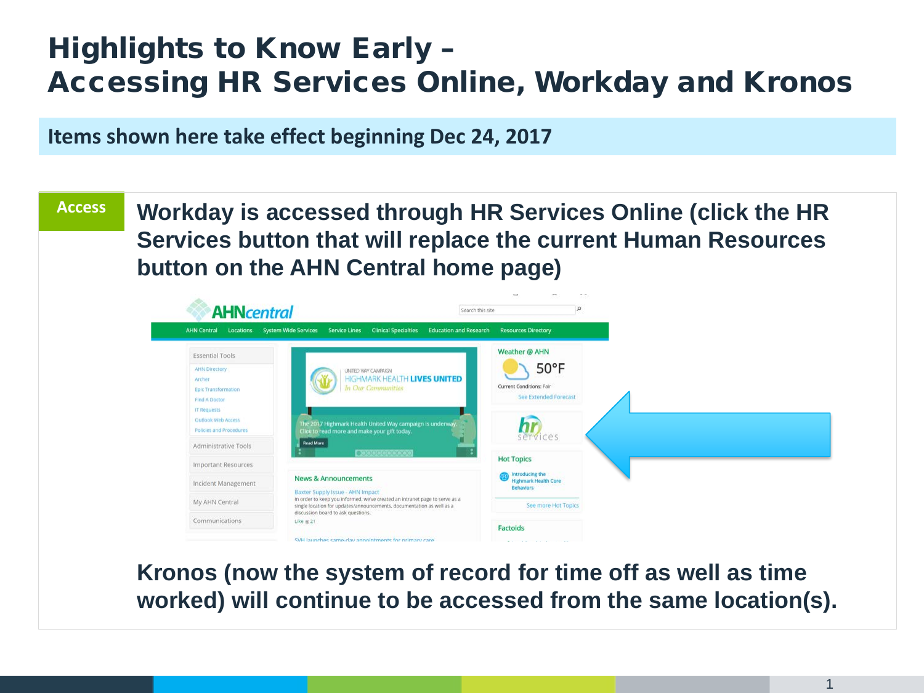## Highlights to Know Early – Accessing HR Services Online, Workday and Kronos

**Items shown here take effect beginning Dec 24, 2017**

**Workday is accessed through HR Services Online (click the HR Services button that will replace the current Human Resources button on the AHN Central home page) Access**



**Kronos (now the system of record for time off as well as time worked) will continue to be accessed from the same location(s).**